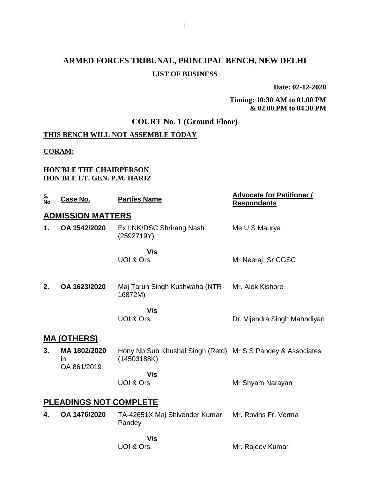**Date: 02-12-2020**

**Timing: 10:30 AM to 01.00 PM & 02.00 PM to 04.30 PM**

## **COURT No. 1 (Ground Floor)**

## **THIS BENCH WILL NOT ASSEMBLE TODAY**

#### **CORAM:**

#### **HON'BLE THE CHAIRPERSON HON'BLE LT. GEN. P.M. HARIZ**

| <u>S.<br/>No.</u>             | Case No.                                 | <b>Parties Name</b>                                                        | <b>Advocate for Petitioner /</b><br><b>Respondents</b> |  |
|-------------------------------|------------------------------------------|----------------------------------------------------------------------------|--------------------------------------------------------|--|
|                               | <b>ADMISSION MATTERS</b>                 |                                                                            |                                                        |  |
| 1.                            | OA 1542/2020                             | Ex LNK/DSC Shrirang Nashi<br>(2592719Y)                                    | Me U S Maurya                                          |  |
|                               |                                          | V/s                                                                        |                                                        |  |
|                               |                                          | UOI & Ors.                                                                 | Mr Neeraj, Sr CGSC                                     |  |
| 2.                            | OA 1623/2020                             | Maj Tarun Singh Kushwaha (NTR-<br>16872M)                                  | Mr. Alok Kishore                                       |  |
|                               |                                          | V/s<br>UOI & Ors.                                                          | Dr. Vijendra Singh Mahndiyan                           |  |
|                               | <u>MA (OTHERS)</u>                       |                                                                            |                                                        |  |
| 3.                            | MA 1802/2020<br><i>in</i><br>OA 861/2019 | Hony Nb Sub Khushal Singh (Retd) Mr S S Pandey & Associates<br>(14503188K) |                                                        |  |
|                               |                                          | V/s                                                                        |                                                        |  |
|                               |                                          | <b>UOI &amp; Ors</b>                                                       | Mr Shyam Narayan                                       |  |
| <b>PLEADINGS NOT COMPLETE</b> |                                          |                                                                            |                                                        |  |
| 4.                            | OA 1476/2020                             | TA-42651X Maj Shivender Kumar<br>Pandey                                    | Mr. Rovins Fr. Verma                                   |  |
|                               |                                          | V/s                                                                        |                                                        |  |
|                               |                                          | UOI & Ors.                                                                 | Mr. Rajeev Kumar                                       |  |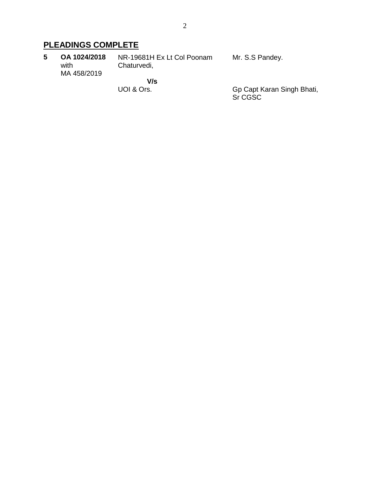# **PLEADINGS COMPLETE**

| 5. | OA 1024/2018<br>with | NR-19681H Ex Lt Col Poonam<br>Chaturvedi, | Mr. S.S Pandey. |
|----|----------------------|-------------------------------------------|-----------------|
|    | MA 458/2019          | V/s                                       |                 |
|    |                      |                                           |                 |

UOI & Ors.

Gp Capt Karan Singh Bhati, Sr CGSC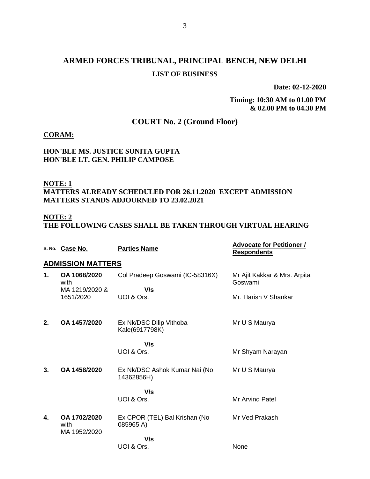**Date: 02-12-2020**

**Timing: 10:30 AM to 01.00 PM & 02.00 PM to 04.30 PM**

## **COURT No. 2 (Ground Floor)**

#### **CORAM:**

#### **HON'BLE MS. JUSTICE SUNITA GUPTA HON'BLE LT. GEN. PHILIP CAMPOSE**

### **NOTE: 1**

#### **MATTERS ALREADY SCHEDULED FOR 26.11.2020 EXCEPT ADMISSION MATTERS STANDS ADJOURNED TO 23.02.2021**

#### **NOTE: 2**

**THE FOLLOWING CASES SHALL BE TAKEN THROUGH VIRTUAL HEARING**

|    | S. No. Case No.                        | <b>Parties Name</b>                         | <b>Advocate for Petitioner /</b><br><b>Respondents</b> |
|----|----------------------------------------|---------------------------------------------|--------------------------------------------------------|
|    | <b>ADMISSION MATTERS</b>               |                                             |                                                        |
| 1. | OA 1068/2020<br>with<br>MA 1219/2020 & | Col Pradeep Goswami (IC-58316X)<br>V/s      | Mr Ajit Kakkar & Mrs. Arpita<br>Goswami                |
|    | 1651/2020                              | UOI & Ors.                                  | Mr. Harish V Shankar                                   |
| 2. | OA 1457/2020                           | Ex Nk/DSC Dilip Vithoba<br>Kale(6917798K)   | Mr U S Maurya                                          |
|    |                                        | V/s                                         |                                                        |
|    |                                        | UOI & Ors.                                  | Mr Shyam Narayan                                       |
| 3. | OA 1458/2020                           | Ex Nk/DSC Ashok Kumar Nai (No<br>14362856H) | Mr U S Maurya                                          |
|    |                                        | V/s                                         |                                                        |
|    |                                        | UOI & Ors.                                  | <b>Mr Arvind Patel</b>                                 |
| 4. | OA 1702/2020<br>with<br>MA 1952/2020   | Ex CPOR (TEL) Bal Krishan (No<br>085965 A)  | Mr Ved Prakash                                         |
|    |                                        | V/s                                         |                                                        |
|    |                                        | UOI & Ors.                                  | None                                                   |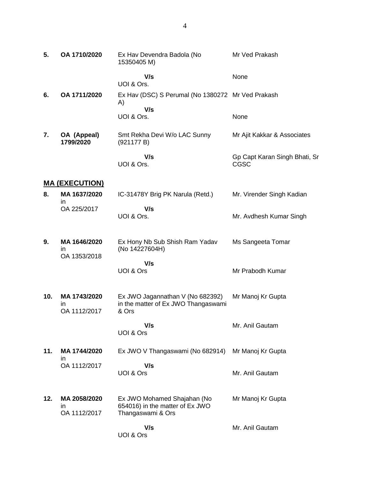| 5.  | OA 1710/2020                              | Ex Hav Devendra Badola (No<br>15350405 M)                                           | Mr Ved Prakash                               |
|-----|-------------------------------------------|-------------------------------------------------------------------------------------|----------------------------------------------|
|     |                                           | V/s<br>UOI & Ors.                                                                   | None                                         |
| 6.  | OA 1711/2020                              | Ex Hav (DSC) S Perumal (No 1380272 Mr Ved Prakash<br>A)                             |                                              |
|     |                                           | V/s<br>UOI & Ors.                                                                   | None                                         |
| 7.  | OA (Appeal)<br>1799/2020                  | Smt Rekha Devi W/o LAC Sunny<br>(921177 B)                                          | Mr Ajit Kakkar & Associates                  |
|     |                                           | V/s<br>UOI & Ors.                                                                   | Gp Capt Karan Singh Bhati, Sr<br><b>CGSC</b> |
|     | <u>MA (EXECUTION)</u>                     |                                                                                     |                                              |
| 8.  | MA 1637/2020<br>ın                        | IC-31478Y Brig PK Narula (Retd.)                                                    | Mr. Virender Singh Kadian                    |
|     | OA 225/2017                               | V/s<br>UOI & Ors.                                                                   | Mr. Avdhesh Kumar Singh                      |
| 9.  | MA 1646/2020<br>in<br>OA 1353/2018        | Ex Hony Nb Sub Shish Ram Yadav<br>(No 14227604H)                                    | Ms Sangeeta Tomar                            |
|     |                                           | V/s<br>UOI & Ors                                                                    | Mr Prabodh Kumar                             |
| 10. | MA 1743/2020<br><i>in</i><br>OA 1112/2017 | Ex JWO Jagannathan V (No 682392)<br>in the matter of Ex JWO Thangaswami<br>& Ors    | Mr Manoj Kr Gupta                            |
|     |                                           | V/s<br>UOI & Ors                                                                    | Mr. Anil Gautam                              |
| 11. | MA 1744/2020<br>in                        | Ex JWO V Thangaswami (No 682914)                                                    | Mr Manoj Kr Gupta                            |
|     | OA 1112/2017                              | V/s<br>UOI & Ors                                                                    | Mr. Anil Gautam                              |
| 12. | MA 2058/2020<br>ın<br>OA 1112/2017        | Ex JWO Mohamed Shajahan (No<br>654016) in the matter of Ex JWO<br>Thangaswami & Ors | Mr Manoj Kr Gupta                            |
|     |                                           | V/s<br>UOI & Ors                                                                    | Mr. Anil Gautam                              |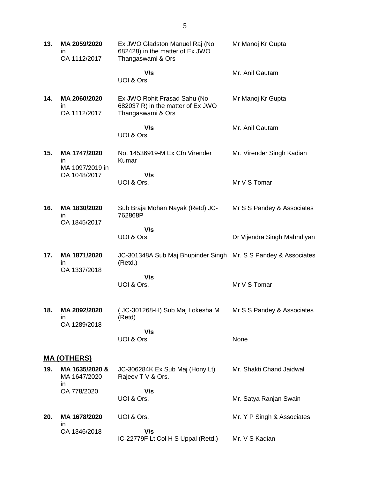| 13. | MA 2059/2020<br>in<br>OA 1112/2017     | Ex JWO Gladston Manuel Raj (No<br>682428) in the matter of Ex JWO<br>Thangaswami & Ors | Mr Manoj Kr Gupta           |
|-----|----------------------------------------|----------------------------------------------------------------------------------------|-----------------------------|
|     |                                        | V/s<br>UOI & Ors                                                                       | Mr. Anil Gautam             |
| 14. | MA 2060/2020<br>in<br>OA 1112/2017     | Ex JWO Rohit Prasad Sahu (No<br>682037 R) in the matter of Ex JWO<br>Thangaswami & Ors | Mr Manoj Kr Gupta           |
|     |                                        | V/s<br>UOI & Ors                                                                       | Mr. Anil Gautam             |
| 15. | MA 1747/2020<br>in.<br>MA 1097/2019 in | No. 14536919-M Ex Cfn Virender<br>Kumar                                                | Mr. Virender Singh Kadian   |
|     | OA 1048/2017                           | V/s<br>UOI & Ors.                                                                      | Mr V S Tomar                |
| 16. | MA 1830/2020<br>in<br>OA 1845/2017     | Sub Braja Mohan Nayak (Retd) JC-<br>762868P                                            | Mr S S Pandey & Associates  |
|     |                                        | V/s<br>UOI & Ors                                                                       | Dr Vijendra Singh Mahndiyan |
| 17. | MA 1871/2020<br>in<br>OA 1337/2018     | JC-301348A Sub Maj Bhupinder Singh Mr. S S Pandey & Associates<br>(Retd.)              |                             |
|     |                                        | V/s<br>UOI & Ors.                                                                      | Mr V S Tomar                |
| 18. | MA 2092/2020<br>in                     | (JC-301268-H) Sub Maj Lokesha M<br>(Retd)                                              | Mr S S Pandey & Associates  |
|     | OA 1289/2018                           | V/s<br>UOI & Ors                                                                       | None                        |
|     | <u>MA (OTHERS)</u>                     |                                                                                        |                             |
| 19. | MA 1635/2020 &<br>MA 1647/2020<br>in   | JC-306284K Ex Sub Maj (Hony Lt)<br>Rajeev T V & Ors.                                   | Mr. Shakti Chand Jaidwal    |
|     | OA 778/2020                            | V/s<br>UOI & Ors.                                                                      | Mr. Satya Ranjan Swain      |
| 20. | MA 1678/2020                           | UOI & Ors.                                                                             | Mr. Y P Singh & Associates  |
|     | in<br>OA 1346/2018                     | V/s<br>IC-22779F Lt Col H S Uppal (Retd.)                                              | Mr. V S Kadian              |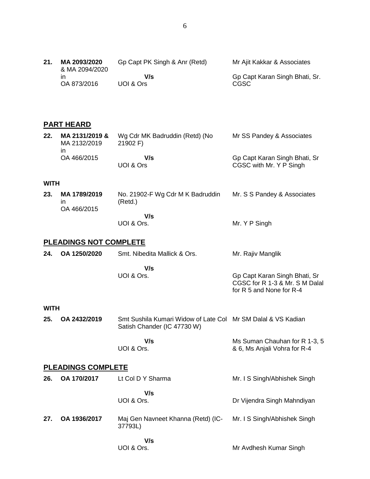### **PART HEARD**

| 22. | MA 2131/2019 &<br>MA 2132/2019<br>ın | Wg Cdr MK Badruddin (Retd) (No<br>21902 F | Mr SS Pandey & Associates                                |
|-----|--------------------------------------|-------------------------------------------|----------------------------------------------------------|
|     | OA 466/2015                          | V/s<br>UOI & Ors                          | Gp Capt Karan Singh Bhati, Sr<br>CGSC with Mr. Y P Singh |

#### **WITH**

| 23. | MA 1789/2019<br>ın<br>OA 466/2015 | No. 21902-F Wg Cdr M K Badruddin<br>(Retd.) | Mr. S S Pandey & Associates |
|-----|-----------------------------------|---------------------------------------------|-----------------------------|
|     |                                   | V/s<br>UOI & Ors.                           | Mr. Y P Singh               |

UOI & Ors.

UOI & Ors.

#### **PLEADINGS NOT COMPLETE**

| 24. | OA 1250/2020 | Smt. Nibedita Mallick & Ors. | Mr. Rajiv Manglik                                                                           |
|-----|--------------|------------------------------|---------------------------------------------------------------------------------------------|
|     |              | V/s<br>UOI & Ors.            | Gp Capt Karan Singh Bhati, Sr<br>CGSC for R 1-3 & Mr. S M Dalal<br>for R 5 and None for R-4 |

#### **WITH**

| 25. OA 2432/2019 | Smt Sushila Kumari Widow of Late Col Mr SM Dalal & VS Kadian |  |
|------------------|--------------------------------------------------------------|--|
|                  | Satish Chander (IC 47730 W)                                  |  |

 **V/s** UOI & Ors. Ms Suman Chauhan for R 1-3, 5 & 6, Ms Anjali Vohra for R-4

Mr Avdhesh Kumar Singh

#### **PLEADINGS COMPLETE**

| 26. | OA 170/2017  | Lt Col D Y Sharma                             | Mr. I S Singh/Abhishek Singh |
|-----|--------------|-----------------------------------------------|------------------------------|
|     |              | V/s<br>UOI & Ors.                             | Dr Vijendra Singh Mahndiyan  |
| 27. | OA 1936/2017 | Maj Gen Navneet Khanna (Retd) (IC-<br>37793L) | Mr. I S Singh/Abhishek Singh |
|     |              | V/s                                           |                              |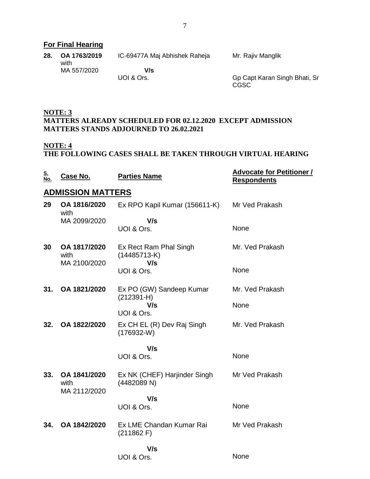## **For Final Hearing**

| 28. | OA 1763/2019<br>with | IC-69477A Maj Abhishek Raheja | Mr. Rajiv Manglik             |
|-----|----------------------|-------------------------------|-------------------------------|
|     | MA 557/2020          | V/s                           |                               |
|     |                      | UOI & Ors.                    | Gp Capt Karan Singh Bhati, Sr |

CGSC

**NOTE: 3 MATTERS ALREADY SCHEDULED FOR 02.12.2020 EXCEPT ADMISSION MATTERS STANDS ADJOURNED TO 26.02.2021**

#### **NOTE: 4**

#### **THE FOLLOWING CASES SHALL BE TAKEN THROUGH VIRTUAL HEARING**

| <u>S.</u><br>No. | Case No.                             | <b>Parties Name</b>                             | <b>Advocate for Petitioner /</b><br><b>Respondents</b> |
|------------------|--------------------------------------|-------------------------------------------------|--------------------------------------------------------|
|                  | <b>ADMISSION MATTERS</b>             |                                                 |                                                        |
| 29               | OA 1816/2020<br>with                 | Ex RPO Kapil Kumar (156611-K)                   | Mr Ved Prakash                                         |
|                  | MA 2099/2020                         | V/s<br>UOI & Ors.                               | None                                                   |
| 30               | OA 1817/2020<br>with<br>MA 2100/2020 | Ex Rect Ram Phal Singh<br>$(14485713-K)$<br>V/s | Mr. Ved Prakash                                        |
|                  |                                      | UOI & Ors.                                      | None                                                   |
| 31.              | OA 1821/2020                         | Ex PO (GW) Sandeep Kumar<br>$(212391 - H)$      | Mr. Ved Prakash                                        |
|                  |                                      | V/s<br>UOI & Ors.                               | None                                                   |
| 32.              | OA 1822/2020                         | Ex CH EL (R) Dev Raj Singh<br>$(176932-W)$      | Mr. Ved Prakash                                        |
|                  |                                      | V/s                                             |                                                        |
|                  |                                      | UOI & Ors.                                      | None                                                   |
| 33.              | OA 1841/2020<br>with<br>MA 2112/2020 | Ex NK (CHEF) Harjinder Singh<br>(4482089 N)     | Mr Ved Prakash                                         |
|                  |                                      | V/s<br>UOI & Ors.                               | None                                                   |
| 34.              | OA 1842/2020                         | Ex LME Chandan Kumar Rai<br>(211862)            | Mr Ved Prakash                                         |
|                  |                                      | V/s<br>UOI & Ors.                               | None                                                   |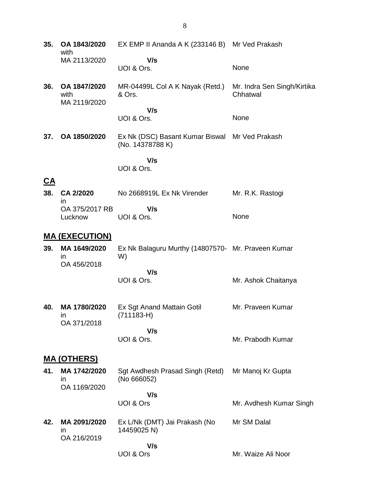**35. OA 1843/2020** with MA 2113/2020 EX EMP II Ananda A K (233146 B) Mr Ved Prakash  **V/s** UOI & Ors. None **36. OA 1847/2020** with MA 2119/2020 MR-04499L Col A K Nayak (Retd.) & Ors.  **V/s** UOI & Ors. Mr. Indra Sen Singh/Kirtika **Chhatwal** None **37. OA 1850/2020** Ex Nk (DSC) Basant Kumar Biswal Mr Ved Prakash (No. 14378788 K)  **V/s**

UOI & Ors.

## **CA**

**38. CA 2/2020** in OA 375/2017 RB Lucknow No 2668919L Ex Nk Virender  **V/s** UOI & Ors. Mr. R.K. Rastogi None

## **MA (EXECUTION)**

- **39. MA 1649/2020** in OA 456/2018 Ex Nk Balaguru Murthy (14807570- Mr. Praveen Kumar W)
	- **V/s** UOI & Ors. Mr. Ashok Chaitanya

Mr. Prabodh Kumar

Mr. Avdhesh Kumar Singh

Mr. Waize Ali Noor

**40. MA 1780/2020** in OA 371/2018 Ex Sgt Anand Mattain Gotil (711183-H)  **V/s** Mr. Praveen Kumar

**MA (OTHERS)**

**41. MA 1742/2020** in OA 1169/2020 Sgt Awdhesh Prasad Singh (Retd) (No 666052) Mr Manoj Kr Gupta

 **V/s** UOI & Ors

UOI & Ors.

**42. MA 2091/2020** in OA 216/2019 Ex L/Nk (DMT) Jai Prakash (No 14459025 N)  **V/s** Mr SM Dalal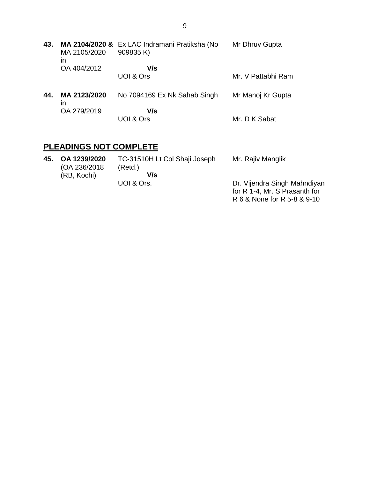**43. MA 2104/2020 &** Ex LAC Indramani Pratiksha (No MA 2105/2020 in OA 404/2012 909835 K)  **V/s** UOI & Ors Mr Dhruv Gupta Mr. V Pattabhi Ram **44. MA 2123/2020** in OA 279/2019 No 7094169 Ex Nk Sahab Singh  **V/s** UOI & Ors Mr Manoj Kr Gupta Mr. D K Sabat

## **PLEADINGS NOT COMPLETE**

| 45. | OA 1239/2020<br>(OA 236/2018) | TC-31510H Lt Col Shaji Joseph<br>(Retd.) | Mr. Rajiv Manglik             |
|-----|-------------------------------|------------------------------------------|-------------------------------|
|     | (RB, Kochi)                   | V/s                                      |                               |
|     |                               | UOI & Ors.                               | Dr. Vijendra Singh Mahndiyan  |
|     |                               |                                          | for R 1-4, Mr. S Prasanth for |
|     |                               |                                          | R 6 & None for R 5-8 & 9-10   |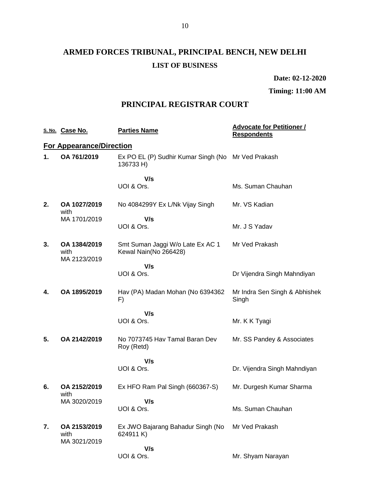**Date: 02-12-2020**

### **Timing: 11:00 AM**

## **PRINCIPAL REGISTRAR COURT**

|    | S. No. Case No.                      | <b>Parties Name</b>                                             | <b>Advocate for Petitioner /</b><br><b>Respondents</b> |
|----|--------------------------------------|-----------------------------------------------------------------|--------------------------------------------------------|
|    | <b>For Appearance/Direction</b>      |                                                                 |                                                        |
| 1. | OA 761/2019                          | Ex PO EL (P) Sudhir Kumar Singh (No Mr Ved Prakash<br>136733 H) |                                                        |
|    |                                      | V/s                                                             |                                                        |
|    |                                      | UOI & Ors.                                                      | Ms. Suman Chauhan                                      |
| 2. | OA 1027/2019<br>with                 | No 4084299Y Ex L/Nk Vijay Singh                                 | Mr. VS Kadian                                          |
|    | MA 1701/2019                         | V/s                                                             |                                                        |
|    |                                      | UOI & Ors.                                                      | Mr. J S Yadav                                          |
| 3. | OA 1384/2019<br>with<br>MA 2123/2019 | Smt Suman Jaggi W/o Late Ex AC 1<br>Kewal Nain(No 266428)       | Mr Ved Prakash                                         |
|    |                                      | V/s                                                             |                                                        |
|    |                                      | UOI & Ors.                                                      | Dr Vijendra Singh Mahndiyan                            |
| 4. | OA 1895/2019                         | Hav (PA) Madan Mohan (No 6394362<br>F)                          | Mr Indra Sen Singh & Abhishek<br>Singh                 |
|    |                                      | V/s                                                             |                                                        |
|    |                                      | UOI & Ors.                                                      | Mr. K K Tyagi                                          |
| 5. | OA 2142/2019                         | No 7073745 Hav Tamal Baran Dev<br>Roy (Retd)                    | Mr. SS Pandey & Associates                             |
|    |                                      | V/s                                                             |                                                        |
|    |                                      | UOI & Ors.                                                      | Dr. Vijendra Singh Mahndiyan                           |
| 6. | OA 2152/2019<br>with                 | Ex HFO Ram Pal Singh (660367-S)                                 | Mr. Durgesh Kumar Sharma                               |
|    | MA 3020/2019                         | V/s                                                             |                                                        |
|    |                                      | UOI & Ors.                                                      | Ms. Suman Chauhan                                      |
| 7. | OA 2153/2019<br>with<br>MA 3021/2019 | Ex JWO Bajarang Bahadur Singh (No<br>624911 K)                  | Mr Ved Prakash                                         |
|    |                                      | V/s                                                             |                                                        |
|    |                                      | UOI & Ors.                                                      | Mr. Shyam Narayan                                      |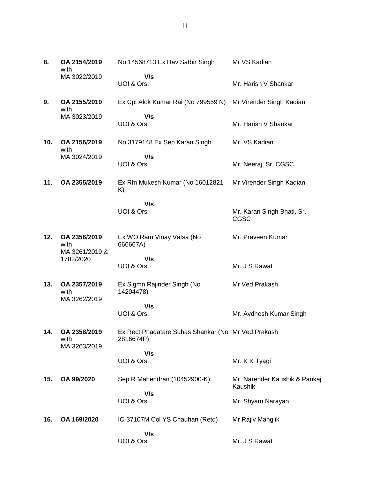| 8.  | OA 2154/2019<br>with                   | No 14568713 Ex Hav Satbir Singh                                 | Mr VS Kadian                              |
|-----|----------------------------------------|-----------------------------------------------------------------|-------------------------------------------|
|     | MA 3022/2019                           | V/s<br>UOI & Ors.                                               | Mr. Harish V Shankar                      |
| 9.  | OA 2155/2019<br>with                   | Ex Cpl Alok Kumar Rai (No 799559 N)                             | Mr Virender Singh Kadian                  |
|     | MA 3023/2019                           | V/s<br>UOI & Ors.                                               | Mr. Harish V Shankar                      |
| 10. | OA 2156/2019<br>with                   | No 3179148 Ex Sep Karan Singh                                   | Mr. VS Kadian                             |
|     | MA 3024/2019                           | V/s<br>UOI & Ors.                                               | Mr. Neeraj, Sr. CGSC                      |
| 11. | OA 2355/2019                           | Ex Rfn Mukesh Kumar (No 16012821<br>K)                          | Mr Virender Singh Kadian                  |
|     |                                        | V/s<br>UOI & Ors.                                               | Mr. Karan Singh Bhati, Sr.<br><b>CGSC</b> |
| 12. | OA 2356/2019<br>with<br>MA 3261/2019 & | Ex WO Ram Vinay Vatsa (No<br>666667A)                           | Mr. Praveen Kumar                         |
|     | 1782/2020                              | V/s<br>UOI & Ors.                                               | Mr. J S Rawat                             |
| 13. | OA 2357/2019<br>with<br>MA 3262/2019   | Ex Sigmn Rajinder Singh (No<br>14204478)                        | Mr Ved Prakash                            |
|     |                                        | V/s<br>UOI & Ors.                                               | Mr. Avdhesh Kumar Singh                   |
| 14. | OA 2358/2019<br>with<br>MA 3263/2019   | Ex Rect Phadatare Suhas Shankar (No Mr Ved Prakash<br>2816674P) |                                           |
|     |                                        | V/s<br>UOI & Ors.                                               | Mr. K K Tyagi                             |
| 15. | OA 99/2020                             | Sep R Mahendran (10452900-K)                                    | Mr. Narender Kaushik & Pankaj<br>Kaushik  |
|     |                                        | V/s<br>UOI & Ors.                                               | Mr. Shyam Narayan                         |
| 16. | OA 169/2020                            | IC-37107M Col YS Chauhan (Retd)                                 | Mr Rajiv Manglik                          |
|     |                                        | V/s<br>UOI & Ors.                                               | Mr. J S Rawat                             |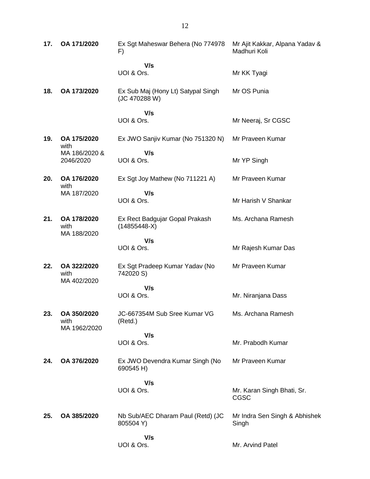| 17. | OA 171/2020                         | Ex Sgt Maheswar Behera (No 774978<br>F)             | Mr Ajit Kakkar, Alpana Yadav &<br>Madhuri Koli |
|-----|-------------------------------------|-----------------------------------------------------|------------------------------------------------|
|     |                                     | V/s<br>UOI & Ors.                                   | Mr KK Tyagi                                    |
| 18. | OA 173/2020                         | Ex Sub Maj (Hony Lt) Satypal Singh<br>(JC 470288 W) | Mr OS Punia                                    |
|     |                                     | V/s<br>UOI & Ors.                                   | Mr Neeraj, Sr CGSC                             |
| 19. | OA 175/2020<br>with                 | Ex JWO Sanjiv Kumar (No 751320 N)                   | Mr Praveen Kumar                               |
|     | MA 186/2020 &<br>2046/2020          | V/s<br>UOI & Ors.                                   | Mr YP Singh                                    |
| 20. | OA 176/2020<br>with                 | Ex Sgt Joy Mathew (No 711221 A)                     | Mr Praveen Kumar                               |
|     | MA 187/2020                         | V/s<br>UOI & Ors.                                   | Mr Harish V Shankar                            |
| 21. | OA 178/2020<br>with<br>MA 188/2020  | Ex Rect Badgujar Gopal Prakash<br>$(14855448-X)$    | Ms. Archana Ramesh                             |
|     |                                     | V/s<br>UOI & Ors.                                   | Mr Rajesh Kumar Das                            |
| 22. | OA 322/2020<br>with<br>MA 402/2020  | Ex Sgt Pradeep Kumar Yadav (No<br>742020 S)         | Mr Praveen Kumar                               |
|     |                                     | V/s                                                 |                                                |
|     |                                     | UOI & Ors.                                          | Mr. Niranjana Dass                             |
| 23. | OA 350/2020<br>with<br>MA 1962/2020 | JC-667354M Sub Sree Kumar VG<br>(Retd.)             | Ms. Archana Ramesh                             |
|     |                                     | V/s<br>UOI & Ors.                                   | Mr. Prabodh Kumar                              |
| 24. | OA 376/2020                         | Ex JWO Devendra Kumar Singh (No<br>690545 H)        | Mr Praveen Kumar                               |
|     |                                     | V/s<br>UOI & Ors.                                   | Mr. Karan Singh Bhati, Sr.<br>CGSC             |
| 25. | OA 385/2020                         | Nb Sub/AEC Dharam Paul (Retd) (JC<br>805504 Y)      | Mr Indra Sen Singh & Abhishek<br>Singh         |
|     |                                     | V/s<br>UOI & Ors.                                   | Mr. Arvind Patel                               |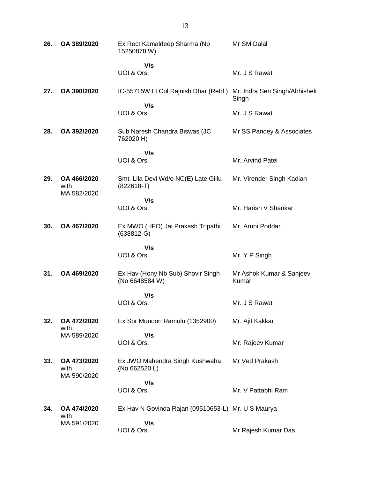| 26. | OA 389/2020                        | Ex Rect Kamaldeep Sharma (No<br>15250878 W)          | Mr SM Dalal                           |
|-----|------------------------------------|------------------------------------------------------|---------------------------------------|
|     |                                    | V/s<br>UOI & Ors.                                    | Mr. J S Rawat                         |
| 27. | OA 390/2020                        | IC-55715W Lt Col Rajnish Dhar (Retd.)                | Mr. Indra Sen Singh/Abhishek<br>Singh |
|     |                                    | V/s<br>UOI & Ors.                                    | Mr. J S Rawat                         |
| 28. | OA 392/2020                        | Sub Naresh Chandra Biswas (JC<br>762020 H)           | Mr SS Pandey & Associates             |
|     |                                    | V/s<br>UOI & Ors.                                    | Mr. Arvind Patel                      |
|     |                                    |                                                      |                                       |
| 29. | OA 466/2020<br>with<br>MA 582/2020 | Smt. Lila Devi Wd/o NC(E) Late Gillu<br>$(822618-T)$ | Mr. Virender Singh Kadian             |
|     |                                    | V/s                                                  |                                       |
|     |                                    | UOI & Ors.                                           | Mr. Harish V Shankar                  |
| 30. | OA 467/2020                        | Ex MWO (HFO) Jai Prakash Tripathi<br>$(638812-G)$    | Mr. Aruni Poddar                      |
|     |                                    | V/s                                                  |                                       |
|     |                                    | UOI & Ors.                                           | Mr. Y P Singh                         |
| 31. | OA 469/2020                        | Ex Hav (Hony Nb Sub) Shovir Singh<br>(No 6648584 W)  | Mr Ashok Kumar & Sanjeev<br>Kumar     |
|     |                                    | V/s                                                  |                                       |
|     |                                    | UOI & Ors.                                           | Mr. J S Rawat                         |
| 32. | OA 472/2020<br>with                | Ex Spr Munoori Ramulu (1352900)                      | Mr. Ajit Kakkar                       |
|     | MA 589/2020                        | V/s<br>UOI & Ors.                                    | Mr. Rajeev Kumar                      |
|     |                                    |                                                      |                                       |
| 33. | OA 473/2020<br>with<br>MA 590/2020 | Ex JWO Mahendra Singh Kushwaha<br>(No 662520 L)      | Mr Ved Prakash                        |
|     |                                    | V/s                                                  |                                       |
|     |                                    | UOI & Ors.                                           | Mr. V Pattabhi Ram                    |
| 34. | OA 474/2020<br>with                | Ex Hav N Govinda Rajan (09510653-L) Mr. U S Maurya   |                                       |
|     | MA 591/2020                        | V/s                                                  |                                       |
|     |                                    | UOI & Ors.                                           | Mr Rajesh Kumar Das                   |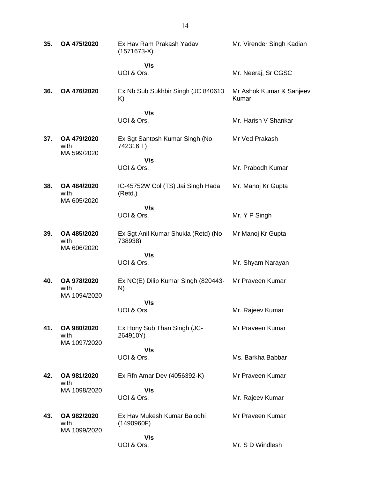| 35. | OA 475/2020                         | Ex Hav Ram Prakash Yadav<br>$(1571673-X)$      | Mr. Virender Singh Kadian         |
|-----|-------------------------------------|------------------------------------------------|-----------------------------------|
|     |                                     | V/s<br>UOI & Ors.                              | Mr. Neeraj, Sr CGSC               |
| 36. | OA 476/2020                         | Ex Nb Sub Sukhbir Singh (JC 840613)<br>K)      | Mr Ashok Kumar & Sanjeev<br>Kumar |
|     |                                     | V/s<br>UOI & Ors.                              | Mr. Harish V Shankar              |
| 37. | OA 479/2020<br>with                 | Ex Sgt Santosh Kumar Singh (No<br>742316 T)    | Mr Ved Prakash                    |
|     | MA 599/2020                         | V/s<br>UOI & Ors.                              | Mr. Prabodh Kumar                 |
| 38. | OA 484/2020<br>with                 | IC-45752W Col (TS) Jai Singh Hada<br>(Retd.)   | Mr. Manoj Kr Gupta                |
|     | MA 605/2020                         | V/s<br>UOI & Ors.                              | Mr. Y P Singh                     |
| 39. | OA 485/2020<br>with<br>MA 606/2020  | Ex Sgt Anil Kumar Shukla (Retd) (No<br>738938) | Mr Manoj Kr Gupta                 |
|     |                                     | V/s<br>UOI & Ors.                              | Mr. Shyam Narayan                 |
| 40. | OA 978/2020<br>with<br>MA 1094/2020 | Ex NC(E) Dilip Kumar Singh (820443-<br>N)      | Mr Praveen Kumar                  |
|     |                                     | V/s<br>UOI & Ors.                              | Mr. Rajeev Kumar                  |
| 41. | OA 980/2020<br>with                 | Ex Hony Sub Than Singh (JC-<br>264910Y)        | Mr Praveen Kumar                  |
|     | MA 1097/2020                        | V/s<br>UOI & Ors.                              | Ms. Barkha Babbar                 |
| 42. | OA 981/2020<br>with                 | Ex Rfn Amar Dev (4056392-K)                    | Mr Praveen Kumar                  |
|     | MA 1098/2020                        | V/s<br>UOI & Ors.                              | Mr. Rajeev Kumar                  |
| 43. | OA 982/2020<br>with<br>MA 1099/2020 | Ex Hav Mukesh Kumar Balodhi<br>(1490960F)      | Mr Praveen Kumar                  |
|     |                                     | V/s<br>UOI & Ors.                              | Mr. S D Windlesh                  |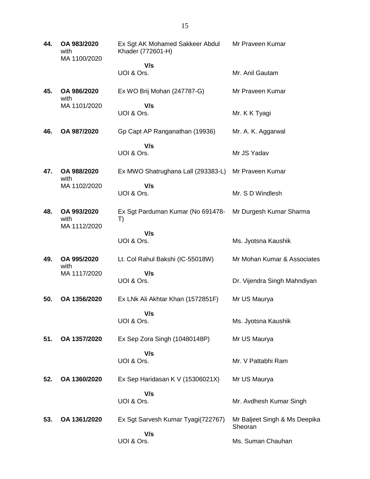| 44. | OA 983/2020<br>with<br>MA 1100/2020 | Ex Sgt AK Mohamed Sakkeer Abdul<br>Khader (772601-H) | Mr Praveen Kumar                         |
|-----|-------------------------------------|------------------------------------------------------|------------------------------------------|
|     |                                     | V/s                                                  |                                          |
|     |                                     | UOI & Ors.                                           | Mr. Anil Gautam                          |
| 45. | OA 986/2020<br>with                 | Ex WO Brij Mohan (247787-G)                          | Mr Praveen Kumar                         |
|     | MA 1101/2020                        | V/s<br>UOI & Ors.                                    | Mr. K K Tyagi                            |
| 46. | OA 987/2020                         | Gp Capt AP Ranganathan (19936)                       | Mr. A. K. Aggarwal                       |
|     |                                     | V/s                                                  |                                          |
|     |                                     | UOI & Ors.                                           | Mr JS Yadav                              |
| 47. | OA 988/2020<br>with                 | Ex MWO Shatrughana Lall (293383-L)                   | Mr Praveen Kumar                         |
|     | MA 1102/2020                        | V/s<br>UOI & Ors.                                    | Mr. S D Windlesh                         |
| 48. | OA 993/2020<br>with                 | Ex Sgt Parduman Kumar (No 691478-<br>T)              | Mr Durgesh Kumar Sharma                  |
|     | MA 1112/2020                        | V/s<br>UOI & Ors.                                    | Ms. Jyotsna Kaushik                      |
|     |                                     |                                                      |                                          |
| 49. | OA 995/2020<br>with                 | Lt. Col Rahul Bakshi (IC-55018W)                     | Mr Mohan Kumar & Associates              |
|     | MA 1117/2020                        | V/s<br>UOI & Ors.                                    | Dr. Vijendra Singh Mahndiyan             |
| 50. | OA 1356/2020                        | Ex LNk Ali Akhtar Khan (1572851F)                    | Mr US Maurya                             |
|     |                                     | V/s<br>UOI & Ors.                                    | Ms. Jyotsna Kaushik                      |
| 51. | OA 1357/2020                        | Ex Sep Zora Singh (10480148P)                        | Mr US Maurya                             |
|     |                                     | V/s<br>UOI & Ors.                                    | Mr. V Pattabhi Ram                       |
| 52. | OA 1360/2020                        | Ex Sep Haridasan K V (15306021X)                     | Mr US Maurya                             |
|     |                                     | V/s<br>UOI & Ors.                                    | Mr. Avdhesh Kumar Singh                  |
| 53. | OA 1361/2020                        | Ex Sgt Sarvesh Kumar Tyagi(722767)                   | Mr Baljeet Singh & Ms Deepika<br>Sheoran |
|     |                                     | V/s<br>UOI & Ors.                                    | Ms. Suman Chauhan                        |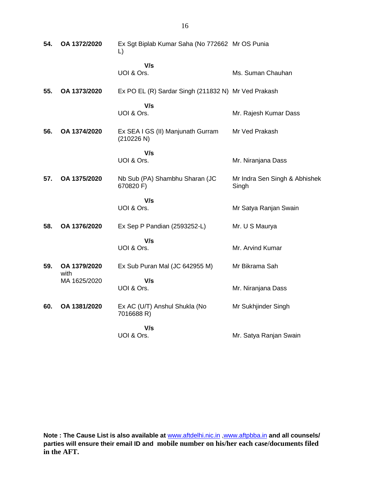| 54. | OA 1372/2020         | Ex Sgt Biplab Kumar Saha (No 772662 Mr OS Punia<br>$\mathsf{L}$ |                                        |
|-----|----------------------|-----------------------------------------------------------------|----------------------------------------|
|     |                      | V/s<br>UOI & Ors.                                               | Ms. Suman Chauhan                      |
| 55. | OA 1373/2020         | Ex PO EL (R) Sardar Singh (211832 N) Mr Ved Prakash             |                                        |
|     |                      | V/s<br>UOI & Ors.                                               | Mr. Rajesh Kumar Dass                  |
| 56. | OA 1374/2020         | Ex SEA I GS (II) Manjunath Gurram<br>(210226 N)                 | Mr Ved Prakash                         |
|     |                      | V/s<br>UOI & Ors.                                               | Mr. Niranjana Dass                     |
| 57. | OA 1375/2020         | Nb Sub (PA) Shambhu Sharan (JC<br>670820 F)                     | Mr Indra Sen Singh & Abhishek<br>Singh |
|     |                      | V/s<br>UOI & Ors.                                               | Mr Satya Ranjan Swain                  |
| 58. | OA 1376/2020         | Ex Sep P Pandian (2593252-L)                                    | Mr. U S Maurya                         |
|     |                      | V/s<br>UOI & Ors.                                               | Mr. Arvind Kumar                       |
| 59. | OA 1379/2020<br>with | Ex Sub Puran Mal (JC 642955 M)                                  | Mr Bikrama Sah                         |
|     | MA 1625/2020         | V/s<br>UOI & Ors.                                               | Mr. Niranjana Dass                     |
| 60. | OA 1381/2020         | Ex AC (U/T) Anshul Shukla (No<br>7016688 R)                     | Mr Sukhjinder Singh                    |
|     |                      | V/s<br>UOI & Ors.                                               | Mr. Satya Ranjan Swain                 |

**Note : The Cause List is also available at** [www.aftdelhi.nic.in](http://www.aftdelhi.nic.in/index.php?option=com_content&view=article&id=14&Itemid=67) [,www.aftpbba.in](http://www.aftpbba.in/) **and all counsels/ parties will ensure their email ID and mobile number on his/her each case/documents filed in the AFT.**